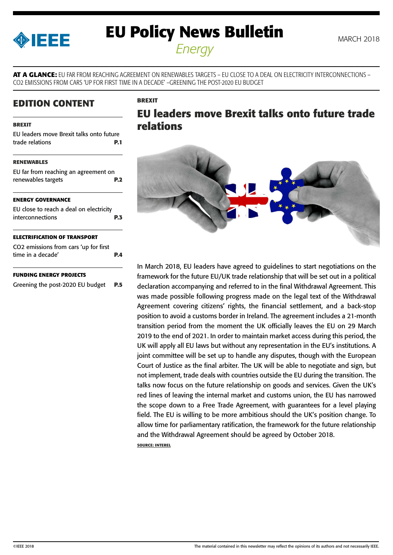<span id="page-0-0"></span>

# **EU Policy News Bulletin** MARCH 2018 *Energy*

**AT A GLANCE:** EU FAR FROM REACHING AGREEMENT ON RENEWABLES TARGETS – EU CLOSE TO A DEAL ON ELECTRICITY INTERCONNECTIONS – CO2 EMISSIONS FROM CARS 'UP FOR FIRST TIME IN A DECADE' –GREENING THE POST-2020 EU BUDGET

**BREXIT**

### **EDITION CONTENT**

#### **BREXIT**

EU leaders move Brexit talks onto future trade relations **P.1**

#### **[RENEWABLES](#page-1-0)**

[EU far from reaching an agreement on](#page-1-0)  [renewables targets](#page-1-0) **P.2**

#### **[ENERGY GOVERNANCE](#page-2-0)**

[EU close to reach a deal on electricity](#page-2-0)  [interconnections](#page-2-0) **P.3**

#### **[ELECTRIFICATION OF TRANSPORT](#page-3-0)**

| CO2 emissions from cars 'up for first |     |
|---------------------------------------|-----|
| time in a decade'                     | P.4 |

#### **[FUNDING ENERGY PROJECTS](#page-4-0)**

[Greening the post-2020 EU budget](#page-4-0) **P.5**

## **EU leaders move Brexit talks onto future trade relations**



In March 2018, EU leaders have agreed to guidelines to start negotiations on the framework for the future EU/UK trade relationship that will be set out in a political declaration accompanying and referred to in the final Withdrawal Agreement. This was made possible following progress made on the legal text of the Withdrawal Agreement covering citizens' rights, the financial settlement, and a back-stop position to avoid a customs border in Ireland. The agreement includes a 21-month transition period from the moment the UK officially leaves the EU on 29 March 2019 to the end of 2021. In order to maintain market access during this period, the UK will apply all EU laws but without any representation in the EU's institutions. A joint committee will be set up to handle any disputes, though with the European Court of Justice as the final arbiter. The UK will be able to negotiate and sign, but not implement, trade deals with countries outside the EU during the transition. The talks now focus on the future relationship on goods and services. Given the UK's red lines of leaving the internal market and customs union, the EU has narrowed the scope down to a Free Trade Agreement, with guarantees for a level playing field. The EU is willing to be more ambitious should the UK's position change. To allow time for parliamentary ratification, the framework for the future relationship and the Withdrawal Agreement should be agreed by October 2018. **SOURCE: INTEREL**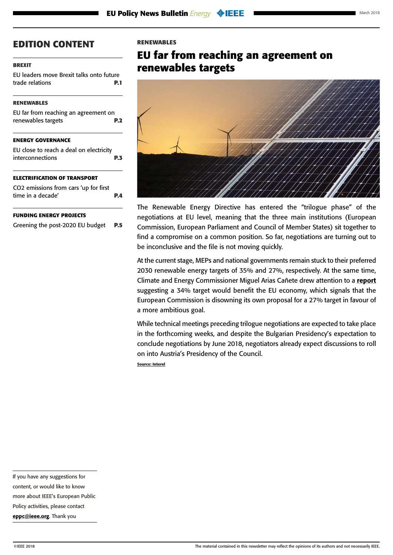#### <span id="page-1-0"></span>**[BREXIT](#page-0-0)**

[EU leaders move Brexit talks onto future](#page-0-0)  [trade relations](#page-0-0) **P.1**

#### **RENEWABLES**

| EU far from reaching an agreement on |            |
|--------------------------------------|------------|
| renewables targets                   | <b>P.2</b> |
|                                      |            |

#### **[ENERGY GOVERNANCE](#page-2-0)**

[EU close to reach a deal on electricity](#page-2-0)  [interconnections](#page-2-0) **P.3**

#### **[ELECTRIFICATION OF TRANSPORT](#page-3-0)**

| CO2 emissions from cars 'up for first |            |
|---------------------------------------|------------|
| time in a decade'                     | <b>P.4</b> |

#### **[FUNDING ENERGY PROJECTS](#page-4-0)**

[Greening the post-2020 EU budget](#page-4-0) **P.5**

#### **RENEWABLES**

## **EU far from reaching an agreement on renewables targets**



The Renewable Energy Directive has entered the "trilogue phase" of the negotiations at EU level, meaning that the three main institutions (European Commission, European Parliament and Council of Member States) sit together to find a compromise on a common position. So far, negotiations are turning out to be inconclusive and the file is not moving quickly.

At the current stage, MEPs and national governments remain stuck to their preferred 2030 renewable energy targets of 35% and 27%, respectively. At the same time, Climate and Energy Commissioner Miguel Arias Cañete drew attention to a [report](https://www.irena.org/publications/2018/Feb/Renewable-energy-prospects-for-the-EU) suggesting a 34% target would benefit the EU economy, which signals that the European Commission is disowning its own proposal for a 27% target in favour of a more ambitious goal.

While technical meetings preceding trilogue negotiations are expected to take place in the forthcoming weeks, and despite the Bulgarian Presidency's expectation to conclude negotiations by June 2018, negotiators already expect discussions to roll on into Austria's Presidency of the Council.

**Source: Interel**

content, or would like to know

more about IEEE's European Public

Policy activities, please contact

[eppc@ieee.org](mailto:eppc%40ieee.org?subject=). Thank you

If you have any suggestions for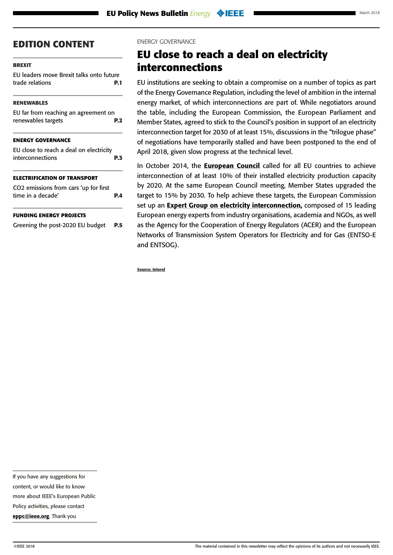#### <span id="page-2-0"></span>**[BREXIT](#page-0-0)**

[EU leaders move Brexit talks onto future](#page-0-0)  [trade relations](#page-0-0) **P.1**

#### **[RENEWABLES](#page-1-0)**

| <b>ENERGY GOVERNANCE</b>             |            |
|--------------------------------------|------------|
| renewables targets                   | <b>P.2</b> |
| EU far from reaching an agreement on |            |

| EU close to reach a deal on electricity |            |
|-----------------------------------------|------------|
| interconnections                        | <b>P.3</b> |

#### **[ELECTRIFICATION OF TRANSPORT](#page-3-0)**

| CO2 emissions from cars 'up for first |            |
|---------------------------------------|------------|
| time in a decade'                     | <b>P.4</b> |

#### **[FUNDING ENERGY PROJECTS](#page-4-0)**

[Greening the post-2020 EU budget](#page-4-0) **P.5**

#### ENERGY GOVERNANCE

## **EU close to reach a deal on electricity interconnections**

EU institutions are seeking to obtain a compromise on a number of topics as part of the Energy Governance Regulation, including the level of ambition in the internal energy market, of which interconnections are part of. While negotiators around the table, including the European Commission, the European Parliament and Member States, agreed to stick to the Council's position in support of an electricity interconnection target for 2030 of at least 15%, discussions in the "trilogue phase" of negotiations have temporarily stalled and have been postponed to the end of April 2018, given slow progress at the technical level.

In October 2014, the **[European Council](https://ec.europa.eu/clima/sites/clima/files/strategies/2030/docs/2030_euco_conclusions_en.pdf)** called for all EU countries to achieve interconnection of at least 10% of their installed electricity production capacity by 2020. At the same European Council meeting, Member States upgraded the target to 15% by 2030. To help achieve these targets, the European Commission set up an **Expert Group on electricity interconnection**, composed of 15 leading European energy experts from industry organisations, academia and NGOs, as well as the Agency for the Cooperation of Energy Regulators (ACER) and the European Networks of Transmission System Operators for Electricity and for Gas (ENTSO-E and ENTSOG).

**Source: Interel**

If you have any suggestions for

content, or would like to know

more about IEEE's European Public

Policy activities, please contact [eppc@ieee.org](mailto:eppc%40ieee.org?subject=). Thank you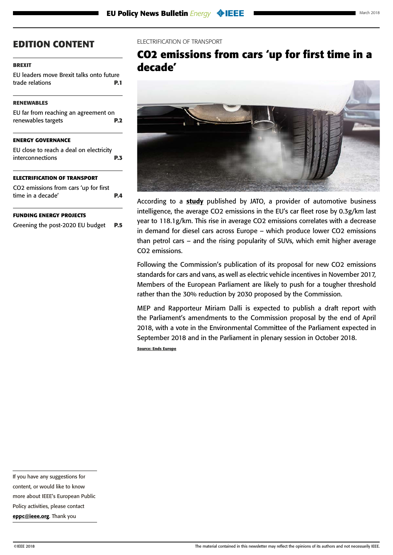#### <span id="page-3-0"></span>**[BREXIT](#page-0-0)**

[EU leaders move Brexit talks onto future](#page-0-0)  [trade relations](#page-0-0) **P.1**

#### **[RENEWABLES](#page-1-0)**

| EU far from reaching an agreement on |            |
|--------------------------------------|------------|
| renewables targets                   | <b>P.2</b> |

#### **[ENERGY GOVERNANCE](#page-2-0)**

[EU close to reach a deal on electricity](#page-2-0)  [interconnections](#page-2-0) **P.3**

#### **ELECTRIFICATION OF TRANSPORT**

| CO2 emissions from cars 'up for first |            |
|---------------------------------------|------------|
| time in a decade'                     | <b>P.4</b> |

#### **[FUNDING ENERGY PROJECTS](#page-4-0)**

[Greening the post-2020 EU budget](#page-4-0) **P.5**

#### ELECTRIFICATION OF TRANSPORT

## **CO2 emissions from cars 'up for first time in a decade'**



According to a [study](http://www.jato.com/co2-emissions-rise-first-time-decade-europe-market-turns-back-disel-vehicles-suv-registrations-rise/) published by JATO, a provider of automotive business intelligence, the average CO2 emissions in the EU's car fleet rose by 0.3g/km last year to 118.1g/km. This rise in average CO2 emissions correlates with a decrease in demand for diesel cars across Europe – which produce lower CO2 emissions than petrol cars – and the rising popularity of SUVs, which emit higher average CO2 emissions.

Following the Commission's publication of its proposal for new CO2 emissions standards for cars and vans, as well as electric vehicle incentives in November 2017, Members of the European Parliament are likely to push for a tougher threshold rather than the 30% reduction by 2030 proposed by the Commission.

MEP and Rapporteur Miriam Dalli is expected to publish a draft report with the Parliament's amendments to the Commission proposal by the end of April 2018, with a vote in the Environmental Committee of the Parliament expected in September 2018 and in the Parliament in plenary session in October 2018.

**Source: Ends Europe**

more about IEEE's European Public

Policy activities, please contact [eppc@ieee.org](mailto:eppc%40ieee.org?subject=). Thank you

If you have any suggestions for content, or would like to know